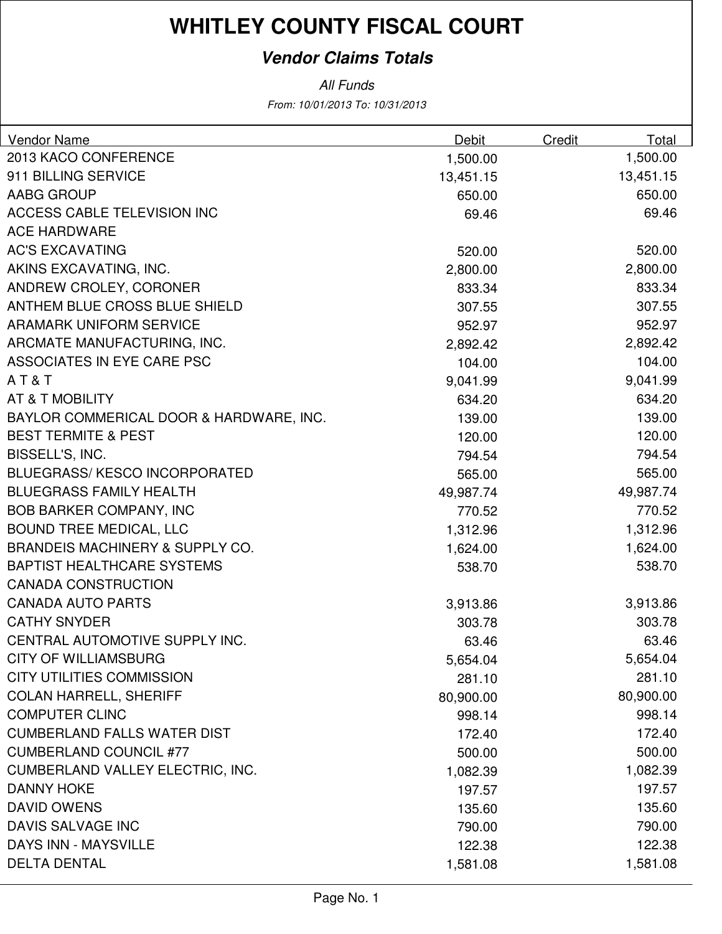### **Vendor Claims Totals**

| <b>Vendor Name</b>                         | Debit     | Credit | Total     |
|--------------------------------------------|-----------|--------|-----------|
| 2013 KACO CONFERENCE                       | 1,500.00  |        | 1,500.00  |
| 911 BILLING SERVICE                        | 13,451.15 |        | 13,451.15 |
| AABG GROUP                                 | 650.00    |        | 650.00    |
| <b>ACCESS CABLE TELEVISION INC</b>         | 69.46     |        | 69.46     |
| <b>ACE HARDWARE</b>                        |           |        |           |
| <b>AC'S EXCAVATING</b>                     | 520.00    |        | 520.00    |
| AKINS EXCAVATING, INC.                     | 2,800.00  |        | 2,800.00  |
| ANDREW CROLEY, CORONER                     | 833.34    |        | 833.34    |
| ANTHEM BLUE CROSS BLUE SHIELD              | 307.55    |        | 307.55    |
| <b>ARAMARK UNIFORM SERVICE</b>             | 952.97    |        | 952.97    |
| ARCMATE MANUFACTURING, INC.                | 2,892.42  |        | 2,892.42  |
| ASSOCIATES IN EYE CARE PSC                 | 104.00    |        | 104.00    |
| AT&T                                       | 9,041.99  |        | 9,041.99  |
| AT & T MOBILITY                            | 634.20    |        | 634.20    |
| BAYLOR COMMERICAL DOOR & HARDWARE, INC.    | 139.00    |        | 139.00    |
| <b>BEST TERMITE &amp; PEST</b>             | 120.00    |        | 120.00    |
| BISSELL'S, INC.                            | 794.54    |        | 794.54    |
| BLUEGRASS/KESCO INCORPORATED               | 565.00    |        | 565.00    |
| <b>BLUEGRASS FAMILY HEALTH</b>             | 49,987.74 |        | 49,987.74 |
| <b>BOB BARKER COMPANY, INC</b>             | 770.52    |        | 770.52    |
| <b>BOUND TREE MEDICAL, LLC</b>             | 1,312.96  |        | 1,312.96  |
| <b>BRANDEIS MACHINERY &amp; SUPPLY CO.</b> | 1,624.00  |        | 1,624.00  |
| <b>BAPTIST HEALTHCARE SYSTEMS</b>          | 538.70    |        | 538.70    |
| <b>CANADA CONSTRUCTION</b>                 |           |        |           |
| <b>CANADA AUTO PARTS</b>                   | 3,913.86  |        | 3,913.86  |
| <b>CATHY SNYDER</b>                        | 303.78    |        | 303.78    |
| CENTRAL AUTOMOTIVE SUPPLY INC.             | 63.46     |        | 63.46     |
| <b>CITY OF WILLIAMSBURG</b>                | 5,654.04  |        | 5,654.04  |
| <b>CITY UTILITIES COMMISSION</b>           | 281.10    |        | 281.10    |
| <b>COLAN HARRELL, SHERIFF</b>              | 80,900.00 |        | 80,900.00 |
| <b>COMPUTER CLINC</b>                      | 998.14    |        | 998.14    |
| <b>CUMBERLAND FALLS WATER DIST</b>         | 172.40    |        | 172.40    |
| <b>CUMBERLAND COUNCIL #77</b>              | 500.00    |        | 500.00    |
| <b>CUMBERLAND VALLEY ELECTRIC, INC.</b>    | 1,082.39  |        | 1,082.39  |
| <b>DANNY HOKE</b>                          | 197.57    |        | 197.57    |
| <b>DAVID OWENS</b>                         | 135.60    |        | 135.60    |
| DAVIS SALVAGE INC                          | 790.00    |        | 790.00    |
| DAYS INN - MAYSVILLE                       | 122.38    |        | 122.38    |
| <b>DELTA DENTAL</b>                        | 1,581.08  |        | 1,581.08  |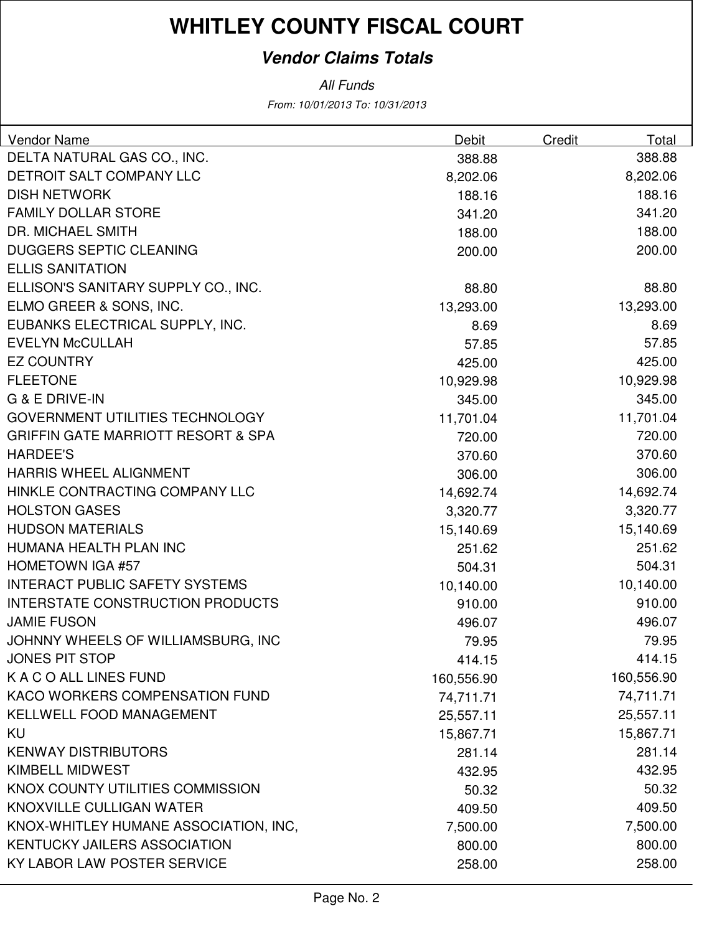### **Vendor Claims Totals**

| <b>Vendor Name</b>                            | Debit      | Credit | Total      |
|-----------------------------------------------|------------|--------|------------|
| DELTA NATURAL GAS CO., INC.                   | 388.88     |        | 388.88     |
| DETROIT SALT COMPANY LLC                      | 8,202.06   |        | 8,202.06   |
| <b>DISH NETWORK</b>                           | 188.16     |        | 188.16     |
| <b>FAMILY DOLLAR STORE</b>                    | 341.20     |        | 341.20     |
| <b>DR. MICHAEL SMITH</b>                      | 188.00     |        | 188.00     |
| <b>DUGGERS SEPTIC CLEANING</b>                | 200.00     |        | 200.00     |
| <b>ELLIS SANITATION</b>                       |            |        |            |
| ELLISON'S SANITARY SUPPLY CO., INC.           | 88.80      |        | 88.80      |
| ELMO GREER & SONS, INC.                       | 13,293.00  |        | 13,293.00  |
| EUBANKS ELECTRICAL SUPPLY, INC.               | 8.69       |        | 8.69       |
| <b>EVELYN McCULLAH</b>                        | 57.85      |        | 57.85      |
| <b>EZ COUNTRY</b>                             | 425.00     |        | 425.00     |
| <b>FLEETONE</b>                               | 10,929.98  |        | 10,929.98  |
| <b>G &amp; E DRIVE-IN</b>                     | 345.00     |        | 345.00     |
| <b>GOVERNMENT UTILITIES TECHNOLOGY</b>        | 11,701.04  |        | 11,701.04  |
| <b>GRIFFIN GATE MARRIOTT RESORT &amp; SPA</b> | 720.00     |        | 720.00     |
| <b>HARDEE'S</b>                               | 370.60     |        | 370.60     |
| <b>HARRIS WHEEL ALIGNMENT</b>                 | 306.00     |        | 306.00     |
| HINKLE CONTRACTING COMPANY LLC                | 14,692.74  |        | 14,692.74  |
| <b>HOLSTON GASES</b>                          | 3,320.77   |        | 3,320.77   |
| <b>HUDSON MATERIALS</b>                       | 15,140.69  |        | 15,140.69  |
| HUMANA HEALTH PLAN INC                        | 251.62     |        | 251.62     |
| <b>HOMETOWN IGA #57</b>                       | 504.31     |        | 504.31     |
| <b>INTERACT PUBLIC SAFETY SYSTEMS</b>         | 10,140.00  |        | 10,140.00  |
| <b>INTERSTATE CONSTRUCTION PRODUCTS</b>       | 910.00     |        | 910.00     |
| <b>JAMIE FUSON</b>                            | 496.07     |        | 496.07     |
| JOHNNY WHEELS OF WILLIAMSBURG, INC            | 79.95      |        | 79.95      |
| JONES PIT STOP                                | 414.15     |        | 414.15     |
| K A C O ALL LINES FUND                        | 160,556.90 |        | 160,556.90 |
| KACO WORKERS COMPENSATION FUND                | 74,711.71  |        | 74,711.71  |
| <b>KELLWELL FOOD MANAGEMENT</b>               | 25,557.11  |        | 25,557.11  |
| KU                                            | 15,867.71  |        | 15,867.71  |
| <b>KENWAY DISTRIBUTORS</b>                    | 281.14     |        | 281.14     |
| <b>KIMBELL MIDWEST</b>                        | 432.95     |        | 432.95     |
| KNOX COUNTY UTILITIES COMMISSION              | 50.32      |        | 50.32      |
| KNOXVILLE CULLIGAN WATER                      | 409.50     |        | 409.50     |
| KNOX-WHITLEY HUMANE ASSOCIATION, INC,         | 7,500.00   |        | 7,500.00   |
| <b>KENTUCKY JAILERS ASSOCIATION</b>           | 800.00     |        | 800.00     |
| KY LABOR LAW POSTER SERVICE                   | 258.00     |        | 258.00     |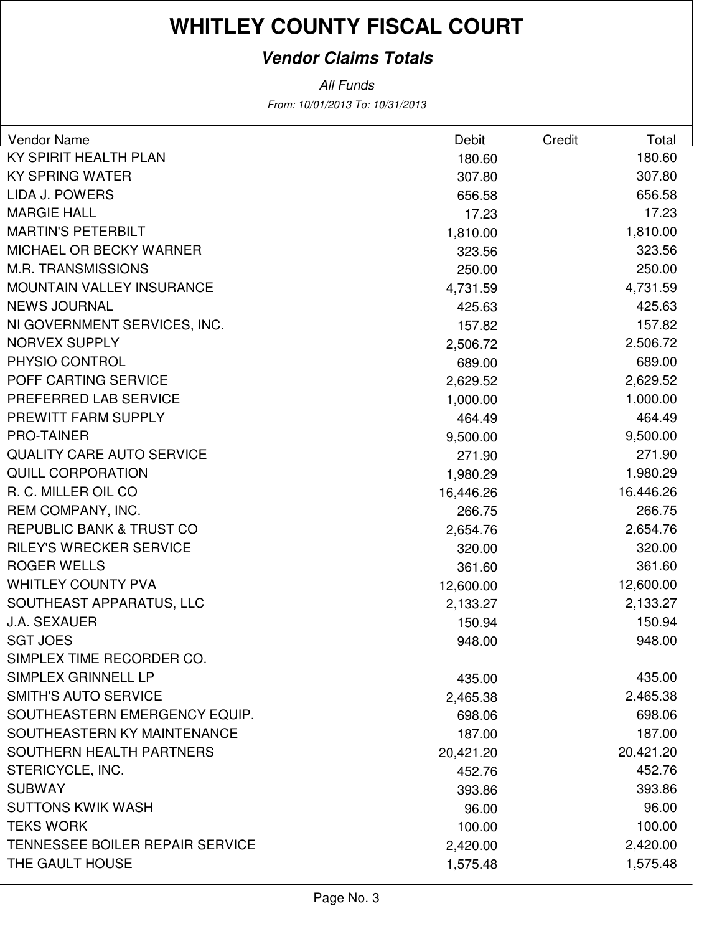### **Vendor Claims Totals**

| Vendor Name                            | Debit     | Credit | Total     |
|----------------------------------------|-----------|--------|-----------|
| KY SPIRIT HEALTH PLAN                  | 180.60    |        | 180.60    |
| <b>KY SPRING WATER</b>                 | 307.80    |        | 307.80    |
| LIDA J. POWERS                         | 656.58    |        | 656.58    |
| <b>MARGIE HALL</b>                     | 17.23     |        | 17.23     |
| <b>MARTIN'S PETERBILT</b>              | 1,810.00  |        | 1,810.00  |
| <b>MICHAEL OR BECKY WARNER</b>         | 323.56    |        | 323.56    |
| <b>M.R. TRANSMISSIONS</b>              | 250.00    |        | 250.00    |
| <b>MOUNTAIN VALLEY INSURANCE</b>       | 4,731.59  |        | 4,731.59  |
| <b>NEWS JOURNAL</b>                    | 425.63    |        | 425.63    |
| NI GOVERNMENT SERVICES, INC.           | 157.82    |        | 157.82    |
| <b>NORVEX SUPPLY</b>                   | 2,506.72  |        | 2,506.72  |
| PHYSIO CONTROL                         | 689.00    |        | 689.00    |
| POFF CARTING SERVICE                   | 2,629.52  |        | 2,629.52  |
| PREFERRED LAB SERVICE                  | 1,000.00  |        | 1,000.00  |
| PREWITT FARM SUPPLY                    | 464.49    |        | 464.49    |
| <b>PRO-TAINER</b>                      | 9,500.00  |        | 9,500.00  |
| <b>QUALITY CARE AUTO SERVICE</b>       | 271.90    |        | 271.90    |
| <b>QUILL CORPORATION</b>               | 1,980.29  |        | 1,980.29  |
| R. C. MILLER OIL CO                    | 16,446.26 |        | 16,446.26 |
| REM COMPANY, INC.                      | 266.75    |        | 266.75    |
| <b>REPUBLIC BANK &amp; TRUST CO</b>    | 2,654.76  |        | 2,654.76  |
| <b>RILEY'S WRECKER SERVICE</b>         | 320.00    |        | 320.00    |
| <b>ROGER WELLS</b>                     | 361.60    |        | 361.60    |
| <b>WHITLEY COUNTY PVA</b>              | 12,600.00 |        | 12,600.00 |
| SOUTHEAST APPARATUS, LLC               | 2,133.27  |        | 2,133.27  |
| <b>J.A. SEXAUER</b>                    | 150.94    |        | 150.94    |
| <b>SGT JOES</b>                        | 948.00    |        | 948.00    |
| SIMPLEX TIME RECORDER CO.              |           |        |           |
| SIMPLEX GRINNELL LP                    | 435.00    |        | 435.00    |
| <b>SMITH'S AUTO SERVICE</b>            | 2,465.38  |        | 2,465.38  |
| SOUTHEASTERN EMERGENCY EQUIP.          | 698.06    |        | 698.06    |
| SOUTHEASTERN KY MAINTENANCE            | 187.00    |        | 187.00    |
| SOUTHERN HEALTH PARTNERS               | 20,421.20 |        | 20,421.20 |
| STERICYCLE, INC.                       | 452.76    |        | 452.76    |
| <b>SUBWAY</b>                          | 393.86    |        | 393.86    |
| <b>SUTTONS KWIK WASH</b>               | 96.00     |        | 96.00     |
| <b>TEKS WORK</b>                       | 100.00    |        | 100.00    |
| <b>TENNESSEE BOILER REPAIR SERVICE</b> | 2,420.00  |        | 2,420.00  |
| THE GAULT HOUSE                        | 1,575.48  |        | 1,575.48  |